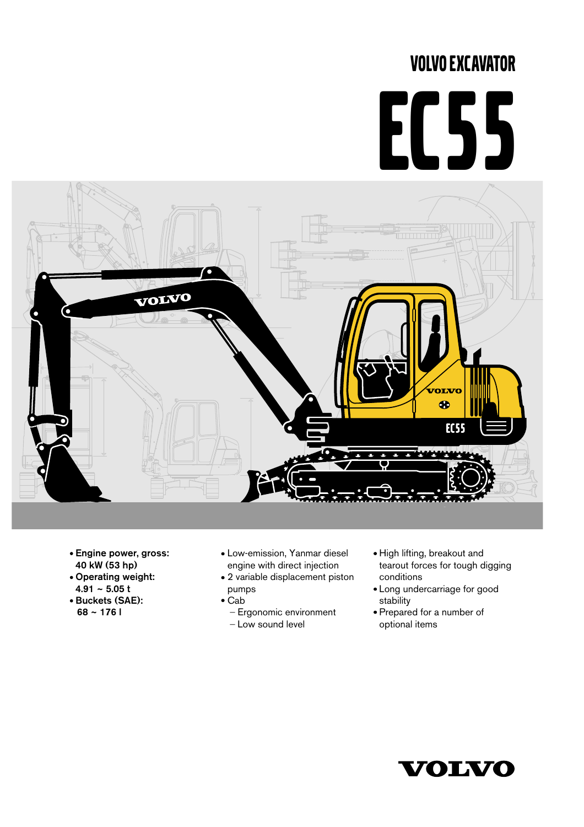# VOLVO EXCAVATOR

# EC55



- Engine power, gross: 40 kW (53 hp)
- Operating weight:
- $4.91 5.05$  t
- Buckets (SAE): 68 ~ 176 l
- Low-emission, Yanmar diesel engine with direct injection
- 2 variable displacement piston pumps
- $\bullet$  Cab
	- Ergonomic environment - Low sound level
- High lifting, breakout and tearout forces for tough digging conditions
- Long undercarriage for good stability
- Prepared for a number of optional items

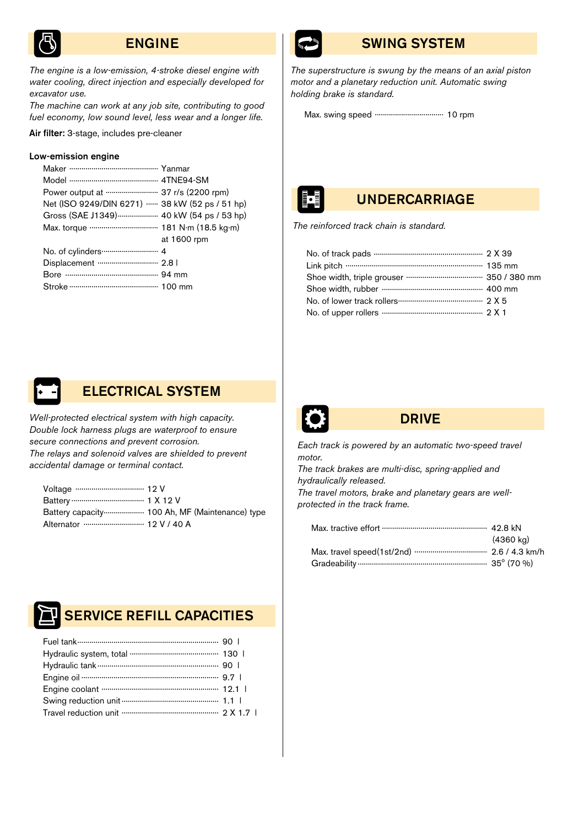

# ENGINE

*The engine is a low-emission, 4-stroke diesel engine with water cooling, direct injection and especially developed for excavator use.* 

*The machine can work at any job site, contributing to good fuel economy, low sound level, less wear and a longer life.*

Air filter: 3-stage, includes pre-cleaner

### Low-emission engine

| Power output at  37 r/s (2200 rpm)             |             |
|------------------------------------------------|-------------|
| Net (ISO 9249/DIN 6271)  38 kW (52 ps / 51 hp) |             |
| Gross (SAE J1349)  40 kW (54 ps / 53 hp)       |             |
| Max. torque  181 N·m (18.5 kg·m)               |             |
|                                                | at 1600 rpm |
|                                                |             |
|                                                |             |
|                                                |             |
|                                                |             |



*Well-protected electrical system with high capacity. Double lock harness plugs are waterproof to ensure secure connections and prevent corrosion. The relays and solenoid valves are shielded to prevent accidental damage or terminal contact.*

|                         | Battery capacity  100 Ah, MF (Maintenance) type |
|-------------------------|-------------------------------------------------|
| Alternator  12 V / 40 A |                                                 |



# SERVICE REFILL CAPACITIES



# SWING SYSTEM

*The superstructure is swung by the means of an axial piston motor and a planetary reduction unit. Automatic swing holding brake is standard.* 

Max. swing speed .................................. 10 rpm

# UNDERCARRIAGE

*The reinforced track chain is standard.*



# DRIVE

*Each track is powered by an automatic two-speed travel motor.* 

*The track brakes are multi-disc, spring-applied and hydraulically released.*

*The travel motors, brake and planetary gears are wellprotected in the track frame.*

| (4360 kg) |
|-----------|
|           |
|           |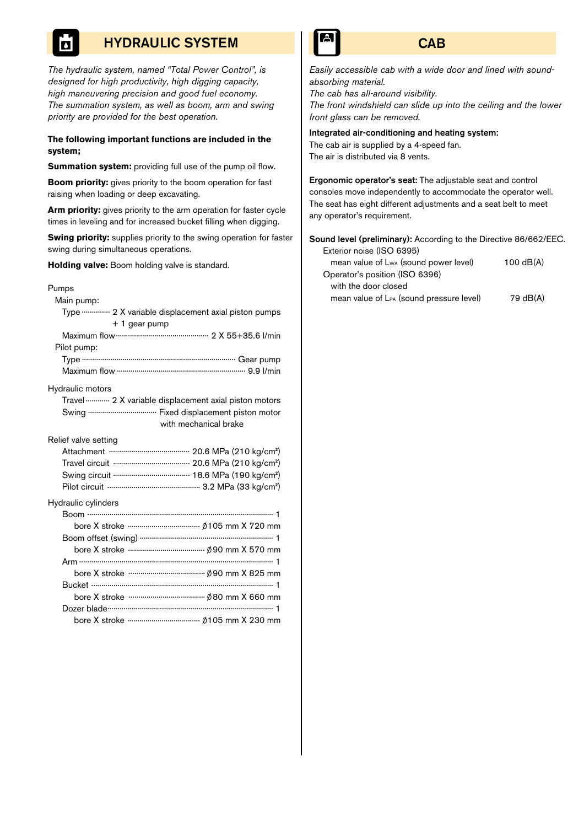# HYDRAULIC SYSTEM

*The hydraulic system, named "Total Power Control", is designed for high productivity, high digging capacity, high maneuvering precision and good fuel economy. The summation system, as well as boom, arm and swing priority are provided for the best operation.*

### **The following important functions are included in the system;**

**Summation system:** providing full use of the pump oil flow.

**Boom priority:** gives priority to the boom operation for fast raising when loading or deep excavating.

**Arm priority:** gives priority to the arm operation for faster cycle times in leveling and for increased bucket filling when digging.

**Swing priority:** supplies priority to the swing operation for faster swing during simultaneous operations.

**Holding valve:** Boom holding valve is standard.

### Pumps

Main pump:

| Type  2 X variable displacement axial piston pumps    |
|-------------------------------------------------------|
| $+1$ gear pump                                        |
|                                                       |
| Pilot pump:                                           |
|                                                       |
|                                                       |
| Hydraulic motors                                      |
| Travel  2 X variable displacement axial piston motors |
| Swing  Fixed displacement piston motor                |
| with mechanical brake                                 |
| Relief valve setting                                  |
|                                                       |
|                                                       |
|                                                       |
|                                                       |
| Hydraulic cylinders                                   |
|                                                       |
|                                                       |
|                                                       |
|                                                       |
|                                                       |
|                                                       |
|                                                       |
|                                                       |
|                                                       |
|                                                       |



*Easily accessible cab with a wide door and lined with soundabsorbing material. The cab has all-around visibility. The front windshield can slide up into the ceiling and the lower*

# Integrated air-conditioning and heating system:

The cab air is supplied by a 4-speed fan. The air is distributed via 8 vents.

*front glass can be removed.*

Ergonomic operator's seat: The adjustable seat and control consoles move independently to accommodate the operator well. The seat has eight different adjustments and a seat belt to meet any operator's requirement.

Sound level (preliminary): According to the Directive 86/662/EEC. Exterior noise (ISO 6395)

| mean value of Lwa (sound power level)    | $100$ dB $(A)$ |
|------------------------------------------|----------------|
| Operator's position (ISO 6396)           |                |
| with the door closed                     |                |
| mean value of LPA (sound pressure level) | 79 dB(A)       |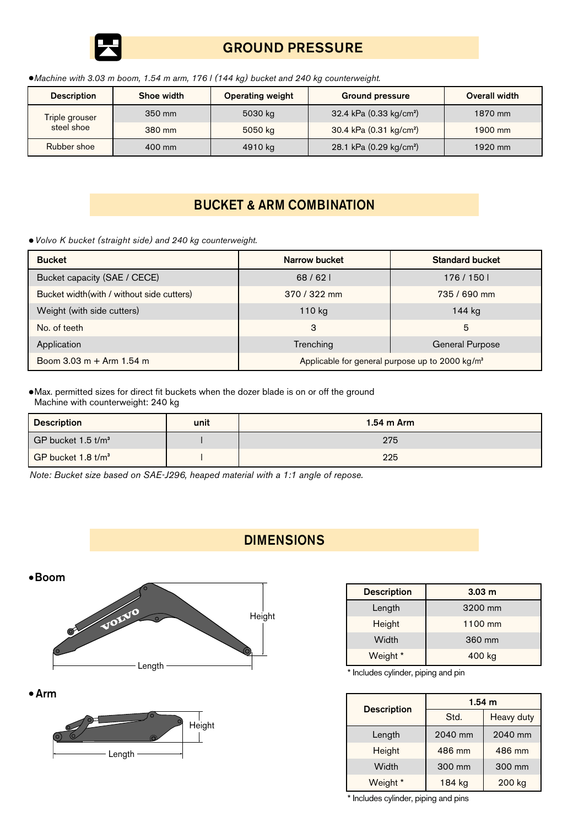

# GROUND PRESSURE

*Machine with 3.03 m boom, 1.54 m arm, 176 l (144 kg) bucket and 240 kg counterweight.*

| <b>Description</b> | Shoe width                     | <b>Operating weight</b> | <b>Ground pressure</b>              | <b>Overall width</b> |
|--------------------|--------------------------------|-------------------------|-------------------------------------|----------------------|
| Triple grouser     | 350 mm<br>steel shoe<br>380 mm | 5030 kg                 | 32.4 kPa (0.33 kg/cm <sup>2</sup> ) | 1870 mm              |
|                    |                                | 5050 kg                 | 30.4 kPa (0.31 kg/cm <sup>2</sup> ) | 1900 mm              |
| Rubber shoe        | 400 mm                         | 4910 kg                 | 28.1 kPa (0.29 kg/cm <sup>2</sup> ) | 1920 mm              |

# BUCKET & ARM COMBINATION

*Volvo K bucket (straight side) and 240 kg counterweight.*

| <b>Bucket</b>                                      | Narrow bucket                                               | <b>Standard bucket</b> |
|----------------------------------------------------|-------------------------------------------------------------|------------------------|
| Bucket capacity (SAE / CECE)                       | 68/62                                                       | 176 / 150              |
| Bucket width (with / without side cutters)         | $370 / 322$ mm                                              | 735 / 690 mm           |
| Weight (with side cutters)                         | 110 kg                                                      | 144 kg                 |
| No. of teeth                                       | 3                                                           | 5                      |
| Application                                        | Trenching                                                   | General Purpose        |
| Boom $3.03 \text{ m} + \text{Arm } 1.54 \text{ m}$ | Applicable for general purpose up to 2000 kg/m <sup>3</sup> |                        |

Max. permitted sizes for direct fit buckets when the dozer blade is on or off the ground Machine with counterweight: 240 kg

| <b>Description</b><br>unit                   |  | $1.54$ m Arm |  |
|----------------------------------------------|--|--------------|--|
| $\mathsf I$ GP bucket 1.5 t/m $^3$ .         |  | 275          |  |
| $\overline{)$ GP bucket 1.8 t/m <sup>3</sup> |  | 225          |  |

**DIMENSIONS** 

*Note: Bucket size based on SAE-J296, heaped material with a 1:1 angle of repose.*



Arm



| <b>Description</b> | 3.03 <sub>m</sub> |
|--------------------|-------------------|
| Length             | 3200 mm           |
| Height             | 1100 mm           |
| Width              | 360 mm            |
| Weight *           | 400 kg            |

\* Includes cylinder, piping and pin

| <b>Description</b> | 1.54 m  |                   |  |
|--------------------|---------|-------------------|--|
|                    | Std.    | <b>Heavy duty</b> |  |
| Length             | 2040 mm | 2040 mm           |  |
| Height             | 486 mm  | 486 mm            |  |
| Width              | 300 mm  | 300 mm            |  |
| Weight *           | 184 kg  | 200 kg            |  |

\* Includes cylinder, piping and pins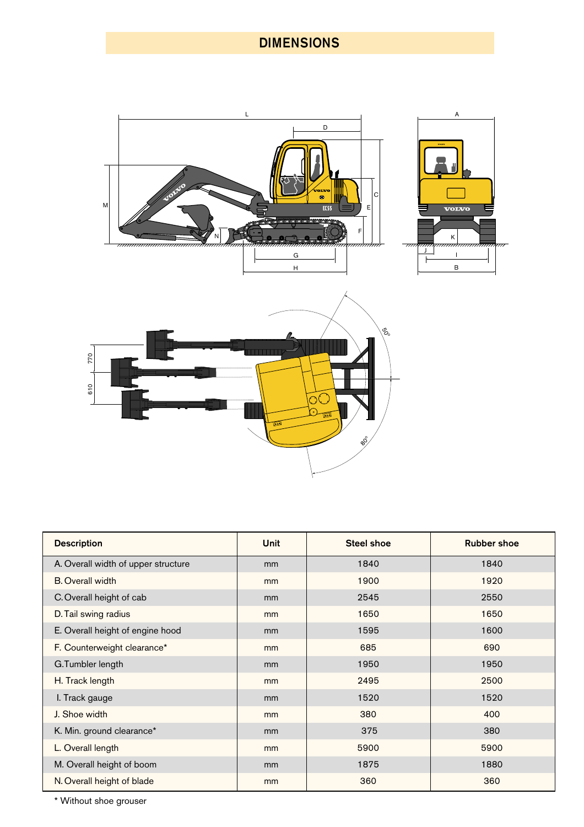# DIMENSIONS



| <b>Description</b>                  | <b>Unit</b> | <b>Steel shoe</b> | <b>Rubber shoe</b> |  |
|-------------------------------------|-------------|-------------------|--------------------|--|
| A. Overall width of upper structure | mm          | 1840              | 1840               |  |
| <b>B.</b> Overall width             | mm          | 1900              | 1920               |  |
| C. Overall height of cab            | mm          | 2545              | 2550               |  |
| D. Tail swing radius                | mm          | 1650              | 1650               |  |
| E. Overall height of engine hood    | mm          | 1595              | 1600               |  |
| F. Counterweight clearance*         | mm          | 685               | 690                |  |
| G.Tumbler length                    | mm          | 1950              | 1950               |  |
| H. Track length                     | mm          | 2495              | 2500               |  |
| I. Track gauge                      | mm          | 1520              | 1520               |  |
| J. Shoe width                       | mm          | 380               | 400                |  |
| K. Min. ground clearance*           | mm          | 375               | 380                |  |
| L. Overall length                   | mm          | 5900              | 5900               |  |
| M. Overall height of boom           | mm          | 1875              | 1880               |  |
| N. Overall height of blade          | mm          | 360               | 360                |  |

\* Without shoe grouser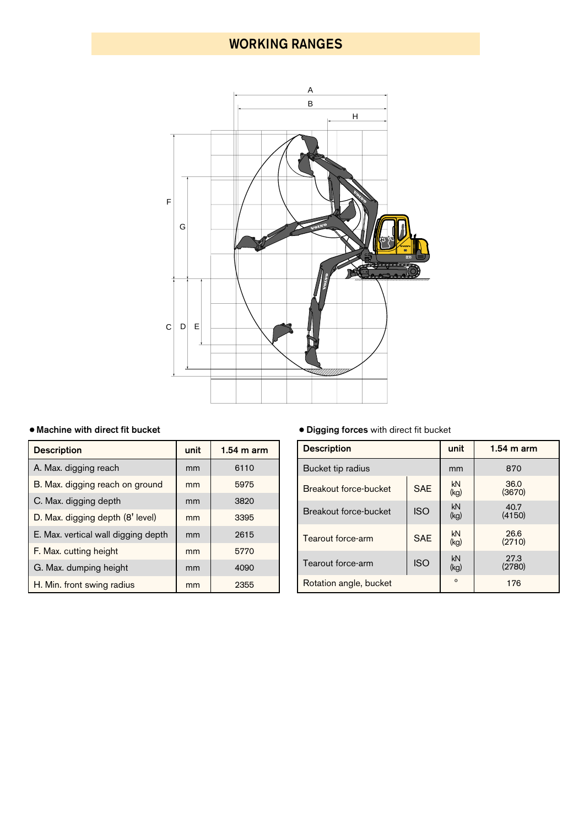# WORKING RANGES



| <b>Description</b>                  | unit | $1.54$ m arm |
|-------------------------------------|------|--------------|
| A. Max. digging reach               | mm   | 6110         |
| B. Max. digging reach on ground     | mm   | 5975         |
| C. Max. digging depth               | mm   | 3820         |
| D. Max. digging depth (8' level)    | mm   | 3395         |
| E. Max. vertical wall digging depth | mm   | 2615         |
| F. Max. cutting height              | mm   | 5770         |
| G. Max. dumping height              | mm   | 4090         |
| H. Min. front swing radius          | mm   | 2355         |

# Machine with direct fit bucket Digging forces with direct fit bucket

| <b>Description</b>     | unit       | $1.54$ m arm   |  |  |  |
|------------------------|------------|----------------|--|--|--|
| Bucket tip radius      | mm         | 870            |  |  |  |
| Breakout force-bucket  | kN<br>(kg) | 36.0<br>(3670) |  |  |  |
| Breakout force-bucket  | kN<br>(kg) | 40.7<br>(4150) |  |  |  |
| Tearout force-arm      | kN<br>(kg) | 26.6<br>(2710) |  |  |  |
| Tearout force-arm      | kN<br>(kq) | 27.3<br>(2780) |  |  |  |
| Rotation angle, bucket | $\Omega$   | 176            |  |  |  |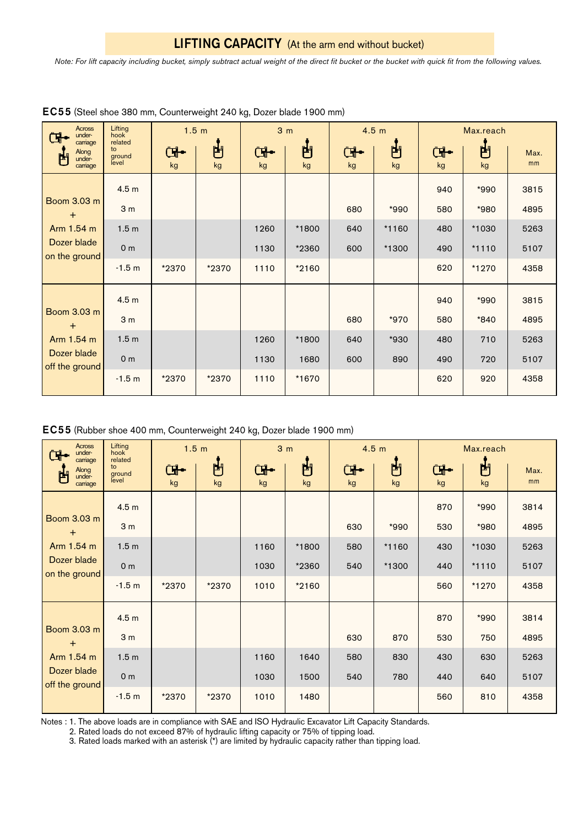*Note: For lift capacity including bucket, simply subtract actual weight of the direct fit bucket or the bucket with quick fit from the following values.*

| <b>Across</b><br>under-<br>carriage                                     | Lifting<br>1.5 m<br>hook<br>related |       | 3 <sub>m</sub> |          | 4.5 <sub>m</sub> |                            | Max.reach |                    |         |            |
|-------------------------------------------------------------------------|-------------------------------------|-------|----------------|----------|------------------|----------------------------|-----------|--------------------|---------|------------|
| Along<br>門<br>under-<br>carriage                                        | to<br>ground<br>level               | kg    | 門<br>kg        | Œ.<br>kg | 凷<br>kg          | $\frac{1}{\sqrt{2}}$<br>kg | 門<br>kg   | $\mathbf{G}$<br>kg | 甴<br>kg | Max.<br>mm |
|                                                                         | 4.5 <sub>m</sub>                    |       |                |          |                  |                            |           | 940                | *990    | 3815       |
| Boom 3.03 m<br>$\ddot{}$                                                | 3 <sub>m</sub>                      |       |                |          |                  | 680                        | *990      | 580                | *980    | 4895       |
| Arm 1.54 m                                                              | 1.5 <sub>m</sub>                    |       |                | 1260     | *1800            | 640                        | *1160     | 480                | *1030   | 5263       |
| Dozer blade<br>on the ground                                            | 0 <sub>m</sub>                      |       |                | 1130     | *2360            | 600                        | *1300     | 490                | $*1110$ | 5107       |
|                                                                         | $-1.5 m$                            | *2370 | *2370          | 1110     | *2160            |                            |           | 620                | *1270   | 4358       |
| Boom 3.03 m<br>$\ddot{}$<br>Arm 1.54 m<br>Dozer blade<br>off the ground | 4.5 <sub>m</sub>                    |       |                |          |                  |                            |           | 940                | *990    | 3815       |
|                                                                         | 3 <sub>m</sub>                      |       |                |          |                  | 680                        | *970      | 580                | *840    | 4895       |
|                                                                         | 1.5 <sub>m</sub>                    |       |                | 1260     | *1800            | 640                        | *930      | 480                | 710     | 5263       |
|                                                                         | 0 <sub>m</sub>                      |       |                | 1130     | 1680             | 600                        | 890       | 490                | 720     | 5107       |
|                                                                         | $-1.5 m$                            | *2370 | *2370          | 1110     | *1670            |                            |           | 620                | 920     | 4358       |

|  |  | EC55 (Steel shoe 380 mm, Counterweight 240 kg, Dozer blade 1900 mm) |  |  |
|--|--|---------------------------------------------------------------------|--|--|
|--|--|---------------------------------------------------------------------|--|--|

| EC55 (Rubber shoe 400 mm, Counterweight 240 kg, Dozer blade 1900 mm) |  |  |
|----------------------------------------------------------------------|--|--|
|----------------------------------------------------------------------|--|--|

| <b>Across</b><br>under-<br>carriage                               | Lifting<br>1.5 <sub>m</sub><br>hook<br>related |          | 3 <sub>m</sub> |                    | 4.5 <sub>m</sub> |          | Max.reach |                            |         |            |
|-------------------------------------------------------------------|------------------------------------------------|----------|----------------|--------------------|------------------|----------|-----------|----------------------------|---------|------------|
| Along<br>禸<br>under-<br>carriage                                  | to<br>ground<br>level                          | ₲•<br>kg | 凷<br>kg        | $\mathbf{F}$<br>kg | 凷<br>kg          | ₲•<br>kg | 問<br>kg   | $\frac{1}{\sqrt{2}}$<br>kg | 甴<br>kg | Max.<br>mm |
|                                                                   | 4.5 <sub>m</sub>                               |          |                |                    |                  |          |           | 870                        | *990    | 3814       |
| Boom 3.03 m<br>$+$                                                | 3 <sub>m</sub>                                 |          |                |                    |                  | 630      | *990      | 530                        | *980    | 4895       |
| Arm 1.54 m                                                        | 1.5 <sub>m</sub>                               |          |                | 1160               | *1800            | 580      | $*1160$   | 430                        | *1030   | 5263       |
| Dozer blade<br>on the ground                                      | 0 <sub>m</sub>                                 |          |                | 1030               | *2360            | 540      | *1300     | 440                        | $*1110$ | 5107       |
|                                                                   | $-1.5 m$                                       | *2370    | *2370          | 1010               | $*2160$          |          |           | 560                        | *1270   | 4358       |
| Boom 3.03 m<br>$+$<br>Arm 1.54 m<br>Dozer blade<br>off the ground | 4.5 <sub>m</sub>                               |          |                |                    |                  |          |           | 870                        | *990    | 3814       |
|                                                                   | 3 <sub>m</sub>                                 |          |                |                    |                  | 630      | 870       | 530                        | 750     | 4895       |
|                                                                   | 1.5 <sub>m</sub>                               |          |                | 1160               | 1640             | 580      | 830       | 430                        | 630     | 5263       |
|                                                                   | 0 <sub>m</sub>                                 |          |                | 1030               | 1500             | 540      | 780       | 440                        | 640     | 5107       |
|                                                                   | $-1.5 m$                                       | *2370    | *2370          | 1010               | 1480             |          |           | 560                        | 810     | 4358       |

Notes : 1. The above loads are in compliance with SAE and ISO Hydraulic Excavator Lift Capacity Standards.

2. Rated loads do not exceed 87% of hydraulic lifting capacity or 75% of tipping load.

3. Rated loads marked with an asterisk (\*) are limited by hydraulic capacity rather than tipping load.